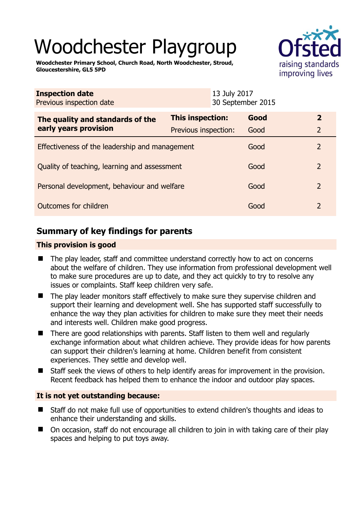# Woodchester Playgroup

**Woodchester Primary School, Church Road, North Woodchester, Stroud, Gloucestershire, GL5 5PD** 



| <b>Inspection date</b><br>Previous inspection date        |                      | 13 July 2017<br>30 September 2015 |      |                |
|-----------------------------------------------------------|----------------------|-----------------------------------|------|----------------|
| The quality and standards of the<br>early years provision | This inspection:     |                                   | Good | $\overline{2}$ |
|                                                           | Previous inspection: |                                   | Good | 2              |
| Effectiveness of the leadership and management            |                      |                                   | Good | 2              |
| Quality of teaching, learning and assessment              |                      |                                   | Good | 2              |
| Personal development, behaviour and welfare               |                      |                                   | Good | $\overline{2}$ |
| Outcomes for children                                     |                      |                                   | Good | 2              |

# **Summary of key findings for parents**

#### **This provision is good**

- The play leader, staff and committee understand correctly how to act on concerns about the welfare of children. They use information from professional development well to make sure procedures are up to date, and they act quickly to try to resolve any issues or complaints. Staff keep children very safe.
- The play leader monitors staff effectively to make sure they supervise children and support their learning and development well. She has supported staff successfully to enhance the way they plan activities for children to make sure they meet their needs and interests well. Children make good progress.
- There are good relationships with parents. Staff listen to them well and regularly exchange information about what children achieve. They provide ideas for how parents can support their children's learning at home. Children benefit from consistent experiences. They settle and develop well.
- Staff seek the views of others to help identify areas for improvement in the provision. Recent feedback has helped them to enhance the indoor and outdoor play spaces.

#### **It is not yet outstanding because:**

- Staff do not make full use of opportunities to extend children's thoughts and ideas to enhance their understanding and skills.
- On occasion, staff do not encourage all children to join in with taking care of their play spaces and helping to put toys away.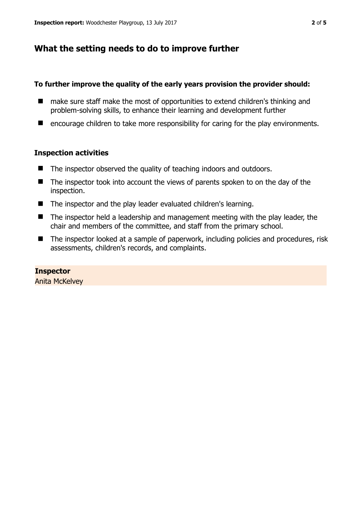## **What the setting needs to do to improve further**

#### **To further improve the quality of the early years provision the provider should:**

- make sure staff make the most of opportunities to extend children's thinking and problem-solving skills, to enhance their learning and development further
- encourage children to take more responsibility for caring for the play environments.

#### **Inspection activities**

- The inspector observed the quality of teaching indoors and outdoors.
- $\blacksquare$  The inspector took into account the views of parents spoken to on the day of the inspection.
- The inspector and the play leader evaluated children's learning.
- $\blacksquare$  The inspector held a leadership and management meeting with the play leader, the chair and members of the committee, and staff from the primary school.
- The inspector looked at a sample of paperwork, including policies and procedures, risk assessments, children's records, and complaints.

#### **Inspector**  Anita McKelvey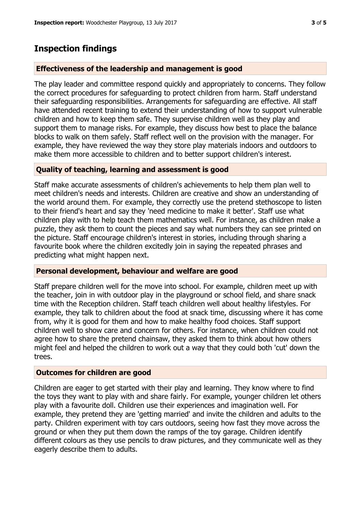## **Inspection findings**

#### **Effectiveness of the leadership and management is good**

The play leader and committee respond quickly and appropriately to concerns. They follow the correct procedures for safeguarding to protect children from harm. Staff understand their safeguarding responsibilities. Arrangements for safeguarding are effective. All staff have attended recent training to extend their understanding of how to support vulnerable children and how to keep them safe. They supervise children well as they play and support them to manage risks. For example, they discuss how best to place the balance blocks to walk on them safely. Staff reflect well on the provision with the manager. For example, they have reviewed the way they store play materials indoors and outdoors to make them more accessible to children and to better support children's interest.

#### **Quality of teaching, learning and assessment is good**

Staff make accurate assessments of children's achievements to help them plan well to meet children's needs and interests. Children are creative and show an understanding of the world around them. For example, they correctly use the pretend stethoscope to listen to their friend's heart and say they 'need medicine to make it better'. Staff use what children play with to help teach them mathematics well. For instance, as children make a puzzle, they ask them to count the pieces and say what numbers they can see printed on the picture. Staff encourage children's interest in stories, including through sharing a favourite book where the children excitedly join in saying the repeated phrases and predicting what might happen next.

#### **Personal development, behaviour and welfare are good**

Staff prepare children well for the move into school. For example, children meet up with the teacher, join in with outdoor play in the playground or school field, and share snack time with the Reception children. Staff teach children well about healthy lifestyles. For example, they talk to children about the food at snack time, discussing where it has come from, why it is good for them and how to make healthy food choices. Staff support children well to show care and concern for others. For instance, when children could not agree how to share the pretend chainsaw, they asked them to think about how others might feel and helped the children to work out a way that they could both 'cut' down the trees.

#### **Outcomes for children are good**

Children are eager to get started with their play and learning. They know where to find the toys they want to play with and share fairly. For example, younger children let others play with a favourite doll. Children use their experiences and imagination well. For example, they pretend they are 'getting married' and invite the children and adults to the party. Children experiment with toy cars outdoors, seeing how fast they move across the ground or when they put them down the ramps of the toy garage. Children identify different colours as they use pencils to draw pictures, and they communicate well as they eagerly describe them to adults.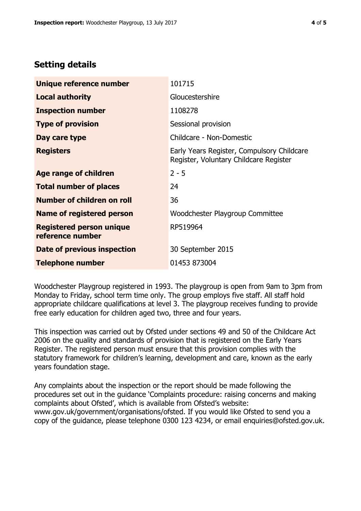## **Setting details**

| Unique reference number                             | 101715                                                                               |  |
|-----------------------------------------------------|--------------------------------------------------------------------------------------|--|
| <b>Local authority</b>                              | Gloucestershire                                                                      |  |
| <b>Inspection number</b>                            | 1108278                                                                              |  |
| <b>Type of provision</b>                            | Sessional provision                                                                  |  |
| Day care type                                       | Childcare - Non-Domestic                                                             |  |
| <b>Registers</b>                                    | Early Years Register, Compulsory Childcare<br>Register, Voluntary Childcare Register |  |
| Age range of children                               | $2 - 5$                                                                              |  |
| <b>Total number of places</b>                       | 24                                                                                   |  |
| Number of children on roll                          | 36                                                                                   |  |
| Name of registered person                           | Woodchester Playgroup Committee                                                      |  |
| <b>Registered person unique</b><br>reference number | RP519964                                                                             |  |
| Date of previous inspection                         | 30 September 2015                                                                    |  |
| <b>Telephone number</b>                             | 01453 873004                                                                         |  |

Woodchester Playgroup registered in 1993. The playgroup is open from 9am to 3pm from Monday to Friday, school term time only. The group employs five staff. All staff hold appropriate childcare qualifications at level 3. The playgroup receives funding to provide free early education for children aged two, three and four years.

This inspection was carried out by Ofsted under sections 49 and 50 of the Childcare Act 2006 on the quality and standards of provision that is registered on the Early Years Register. The registered person must ensure that this provision complies with the statutory framework for children's learning, development and care, known as the early years foundation stage.

Any complaints about the inspection or the report should be made following the procedures set out in the guidance 'Complaints procedure: raising concerns and making complaints about Ofsted', which is available from Ofsted's website: www.gov.uk/government/organisations/ofsted. If you would like Ofsted to send you a copy of the guidance, please telephone 0300 123 4234, or email enquiries@ofsted.gov.uk.